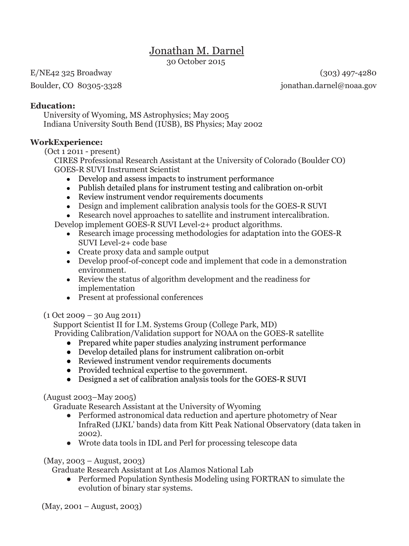# Jonathan M. Darnel

30 October 2015

E/NE42 325 Broadway (303) 497-4280 Boulder, CO 80305-3328 jonathan.darnel@noaa.gov

### **Education:**

University of Wyoming, MS Astrophysics; May 2005 Indiana University South Bend (IUSB), BS Physics; May 2002

# **WorkExperience:**

(Oct 1 2011 - present)

CIRES Professional Research Assistant at the University of Colorado (Boulder CO) GOES-R SUVI Instrument Scientist

- Develop and assess impacts to instrument performance
- Publish detailed plans for instrument testing and calibration on-orbit
- Review instrument vendor requirements documents
- Design and implement calibration analysis tools for the GOES-R SUVI
- Research novel approaches to satellite and instrument intercalibration.

Develop implement GOES-R SUVI Level-2+ product algorithms.

- Research image processing methodologies for adaptation into the GOES-R SUVI Level-2+ code base
- Create proxy data and sample output
- Develop proof-of-concept code and implement that code in a demonstration environment.
- Review the status of algorithm development and the readiness for implementation
- Present at professional conferences

# $(1$  Oct 2009 – 30 Aug 2011)

Support Scientist II for I.M. Systems Group (College Park, MD)

Providing Calibration/Validation support for NOAA on the GOES-R satellite

- Prepared white paper studies analyzing instrument performance
- Develop detailed plans for instrument calibration on-orbit
- Reviewed instrument vendor requirements documents
- Provided technical expertise to the government.
- Designed a set of calibration analysis tools for the GOES-R SUVI

# (August 2003–May 2005)

Graduate Research Assistant at the University of Wyoming

- Performed astronomical data reduction and aperture photometry of Near InfraRed (IJKL' bands) data from Kitt Peak National Observatory (data taken in 2002).
- Wrote data tools in IDL and Perl for processing telescope data

(May, 2003 – August, 2003)

Graduate Research Assistant at Los Alamos National Lab

• Performed Population Synthesis Modeling using FORTRAN to simulate the evolution of binary star systems.

(May, 2001 – August, 2003)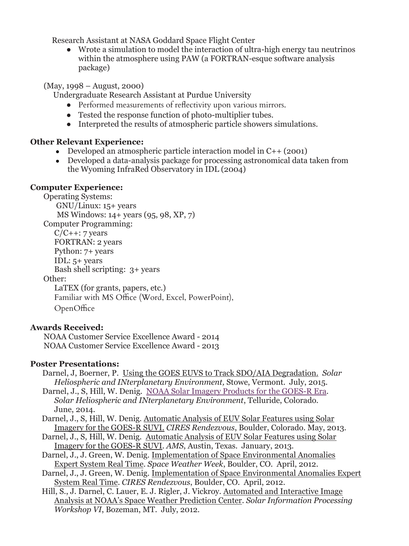Research Assistant at NASA Goddard Space Flight Center

● Wrote a simulation to model the interaction of ultra-high energy tau neutrinos within the atmosphere using PAW (a FORTRAN-esque software analysis package)

### (May, 1998 – August, 2000)

Undergraduate Research Assistant at Purdue University

- Performed measurements of reflectivity upon various mirrors.
- Tested the response function of photo-multiplier tubes.
- Interpreted the results of atmospheric particle showers simulations.

### **Other Relevant Experience:**

- Developed an atmospheric particle interaction model in  $C_{++}$  (2001)
- Developed a data-analysis package for processing astronomical data taken from the Wyoming InfraRed Observatory in IDL (2004)

### **Computer Experience:**

Operating Systems: GNU/Linux: 15+ years MS Windows: 14+ years (95, 98, XP, 7) Computer Programming:  $C/C++: 7 years$ FORTRAN: 2 years Python: 7+ years IDL: 5+ years Bash shell scripting: 3+ years Other: LaTEX (for grants, papers, etc.) Familiar with MS Office (Word, Excel, PowerPoint),

OpenOffice

# **Awards Received:**

 NOAA Customer Service Excellence Award - 2014 NOAA Customer Service Excellence Award - 2013

# **Poster Presentations:**

- Darnel, J, Boerner, P. Using the GOES EUVS to Track SDO/AIA Degradation. *Solar Heliospheric and INterplanetary Environment,* Stowe, Vermont. July, 2015.
- Darnel, J., S, Hill, W. Denig. [NOAA Solar Imagery Products for the GOES-R Era.](https://insidecires.colorado.edu/asa/system/admin/shinecon.org) *Solar Heliospheric and INterplanetary Environment*, Telluride, Colorado. June, 2014.
- Darnel, J., S, Hill, W. Denig. Automatic Analysis of EUV Solar Features using Solar Imagery for the GOES-R SUVI. *CIRES Rendezvous*, Boulder, Colorado. May, 2013.
- Darnel, J., S, Hill, W. Denig. Automatic Analysis of EUV Solar Features using Solar Imagery for the GOES-R SUVI. *AMS*, Austin, Texas. January, 2013.
- Darnel, J., J. Green, W. Denig. Implementation of Space Environmental Anomalies Expert System Real Time. *Space Weather Week*, Boulder, CO. April, 2012.
- Darnel, J., J. Green, W. Denig. Implementation of Space Environmental Anomalies Expert System Real Time. *CIRES Rendezvous*, Boulder, CO. April, 2012.
- Hill, S., J. Darnel, C. Lauer, E. J. Rigler, J. Vickroy. Automated and Interactive Image Analysis at NOAA's Space Weather Prediction Center. *Solar Information Processing Workshop VI*, Bozeman, MT. July, 2012.